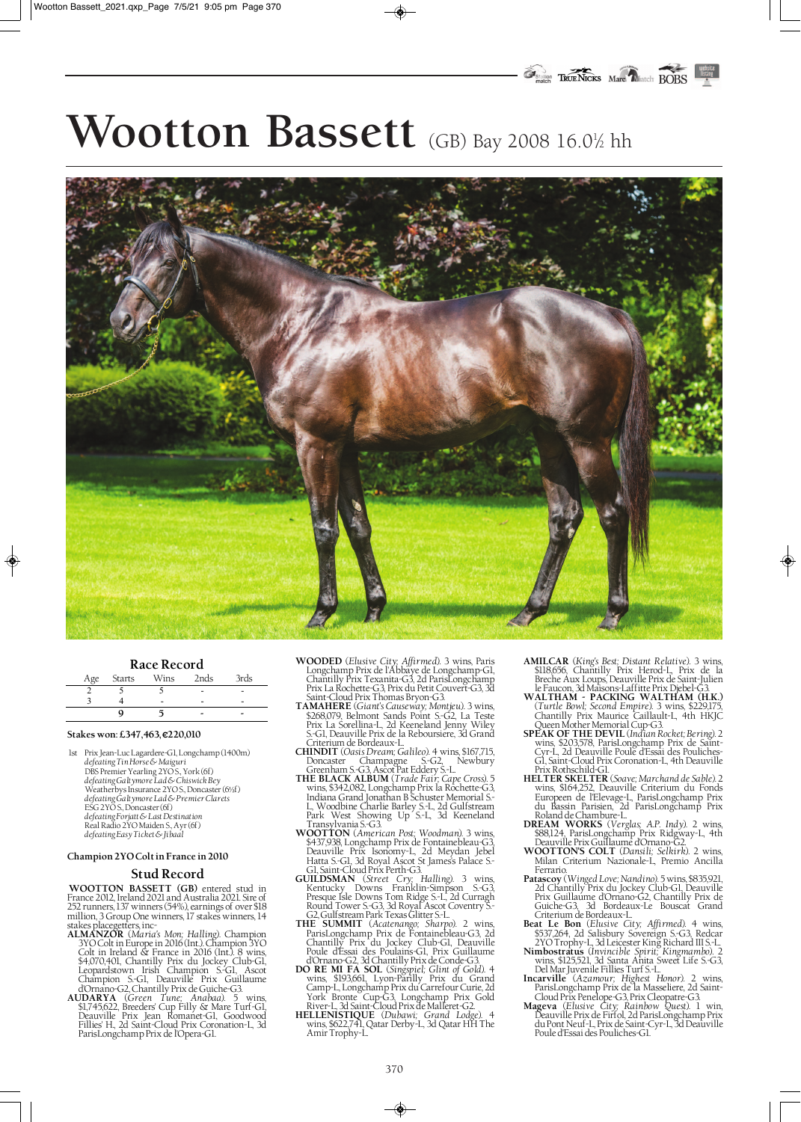# Wootton Bassett (GB) Bay 2008 16.0% hh



#### **Race Record**

| Age Starts | Wins | 2nds | 3rds |
|------------|------|------|------|
|            |      |      |      |
|            |      |      |      |
|            |      | -    |      |

#### **Stakes won: £347,463, €220,010**

1st Prix Jean-Luc Lagardere-G1, Longchamp (1400m) *defeating Tin Horse & Maiguri* DBS Premier Yearling 2YO S., York (6f) *defeating Galtymore Lad & Chiswick Bey* Weatherbys Insurance 2YO S., Doncaster (6½f) *defeating Galtymore Lad & Premier Clarets* ESG 2YO S., Doncaster (6f) *defeating Forjatt & Last Destination* Real Radio 2YO Maiden S., Ayr (6f) *defeating Easy Ticket & Jibaal*

#### **Champion 2YO Colt in France in 2010**

### **Stud Record**

**WOOTTON BASSETT (GB)** entered stud in France 2012, Ireland 2021 and Australia 2021. Sire of 252 runners, 137 winners (54%), earnings of over \$18 million, 3 Group One winners, 17 stakes winners, 14 stakes placegetters, inc-**ALMANZOR** (*Maria's Mon; Halling*). Champion

- 3YO Colt in Europe in 2016 (Int.). Champion 3YO Colt in Ireland & France in 2016 (Int.). 8 wins, \$4,070,401, Chantilly Prix du Jockey Club-G1, Leopardstown Irish Champion S.-G1, Ascot Champion S.-G1, Deauville Prix Guillaume
- d'Ornano-G2, Chantilly Prix de Guiche-G3. **AUDARYA** (*Green Tune; Anabaa*). 5 wins, \$1,745,622, Breeders' Cup Filly & Mare Turf-G1, Deauville Prix Jean Romanet-G1, Goodwood Fillies' H., 2d Saint-Cloud Prix Coronation-L, 3d ParisLongchamp Prix de l'Opera-G1.
- **WOODED** (*Elusive City; Affirmed*). 3 wins, Paris Longchamp Prix de l'Abbaye de Longchamp-G1, Chantilly Prix Texanita-G3, 2d ParisLongchamp Prix La Rochette-G3, Prix du Petit Couvert-G3, 3d Saint-Cloud Prix Thomas Bryon-G3. **TAMAHERE** (*Giant's Causeway; Montjeu*). 3 wins,
- \$268,079, Belmont Sands Point S.-G2, La Teste Prix La Sorellina-L, 2d Keeneland Jenny Wiley S.-G1, Deauville Prix de la Reboursiere, 3d Grand Criterium de Bordeaux-L. **CHINDIT** (*Oasis Dream; Galileo*). 4 wins, \$167,715,
- Doncaster Champagne S.-G2, Newbury
- Greenham S.-G3, Ascot Pat Eddery S.-L. **THE BLACK ALBUM** (*Trade Fair; Cape Cross*). 5 wins, \$342,082, Longchamp Prix la Rochette-G3, Indiana Grand Jonathan B Schuster Memorial S.- L, Woodbine Charlie Barley S.-L, 2d Gulfstream Park West Showing Up S.-L, 3d Keeneland
- Transylvania S.-G3. **WOOTTON** (*American Post; Woodman*). 3 wins, \$437,938, Longchamp Prix de Fontainebleau-G3, Deauville Prix Isonomy-L, 2d Meydan Jebel Hatta S.-G1, 3d Royal Ascot St James's Palace S.- G1, Saint-Cloud Prix Perth-G3. **GUILDSMAN** (*Street Cry; Halling*). 3 wins,
- Kentucky Downs Franklin-Simpson S.-G3, Presque Isle Downs Tom Ridge S.-L, 2d Curragh Round Tower S.-G3, 3d Royal Ascot Coventry S.-
- G2, Gulfstream Park Texas Glitter S.-L. **THE SUMMIT** (*Acatenango; Sharpo*). 2 wins, ParisLongchamp Prix de Fontainebleau-G3, 2d Chantilly Prix du Jockey Club-G1, Deauville Poule d'Essai des Poulains-G1, Prix Guillaume
- d'Ornano-G2, 3d Chantilly Prix de Conde-G3. **DO RE MI FA SOL** (*Singspiel; Glint of Gold*). 4 wins, \$193,661, Lyon-Parilly Prix du Grand Camp-L, Longchamp Prix du Carrefour Curie, 2d York Bronte Cup-G3, Longchamp Prix Gold River-L, 3d Saint-Cloud Prix de Malleret-G2. **HELLENISTIQUE** (*Dubawi; Grand Lodge*). 4
- wins, \$622,741, Qatar Derby-L, 3d Qatar HH The Amir Trophy-L.

**AMILCAR** (*King's Best; Distant Relative*). 3 wins, \$118,656, Chantilly Prix Herod-L, Prix de la Breche Aux Loups, Deauville Prix de Saint-Julien  $\color{red} \clubsuit$ 

- le Faucon, 3d Maisons-Laffitte Prix Djebel-G3. **WALTHAM PACKING WALTHAM (H.K.)**  (*Turtle Bowl; Second Empire*). 3 wins, \$229,175, Chantilly Prix Maurice Caillault-L, 4th HKJC
- Queen Mother Memorial Cup-G3. **SPEAK OF THE DEVIL** (*Indian Rocket; Bering*). 2 wins, \$203,578, ParisLongchamp Prix de Saint-Cyr-L, 2d Deauville Poule d'Essai des Pouliches-G1, Saint-Cloud Prix Coronation-L, 4th Deauville
- Prix Rothschild-G1. **HELTER SKELTER** (*Soave; Marchand de Sable*). 2 wins, \$164,252, Deauville Criterium du Fonds Europeen de l'Elevage-L, ParisLongchamp Prix du Bassin Parisien, 2d ParisLongchamp Prix Roland de Chambure-L. **DREAM WORKS** (*Verglas; A.P. Indy*). 2 wins,
- \$88,124, ParisLongchamp Prix Ridgway-L, 4th Deauville Prix Guillaume d'Ornano-G2.
- **WOOTTON'S COLT** (*Dansili; Selkirk*). 2 wins, Milan Criterium Nazionale-L, Premio Ancilla
- Ferrario. **Patascoy** (*Winged Love; Nandino*). 5 wins, \$835,921, 2d Chantilly Prix du Jockey Club-G1, Deauville Prix Guillaume d'Ornano-G2, Chantilly Prix de Guiche-G3, 3d Bordeaux-Le Bouscat Grand Criterium de Bordeaux-L. **Beat Le Bon** (*Elusive City; Affirmed*). 4 wins,
- \$537,264, 2d Salisbury Sovereign S.-G3, Redcar
- 2YO Trophy-L, 3d Leicester King Richard III S.-L. **Nimbostratus** (*Invincible Spirit; Kingmambo*). 2 wins, \$125,521, 3d Santa Anita Sweet Life S.-G3,
- Del Mar Juvenile Fillies Turf S.-L. **Incarville** (*Azamour; Highest Honor*). 2 wins, ParisLongchamp Prix de la Masseliere, 2d Saint-
- Cloud Prix Penelope-G3, Prix Cleopatre-G3. **Mageva** (*Elusive City; Rainbow Quest*). 1 win, Deauville Prix de Firfol, 2d ParisLongchamp Prix du Pont Neuf-L, Prix de Saint-Cyr-L, 3d Deauville Poule d'Essai des Pouliches-G1.